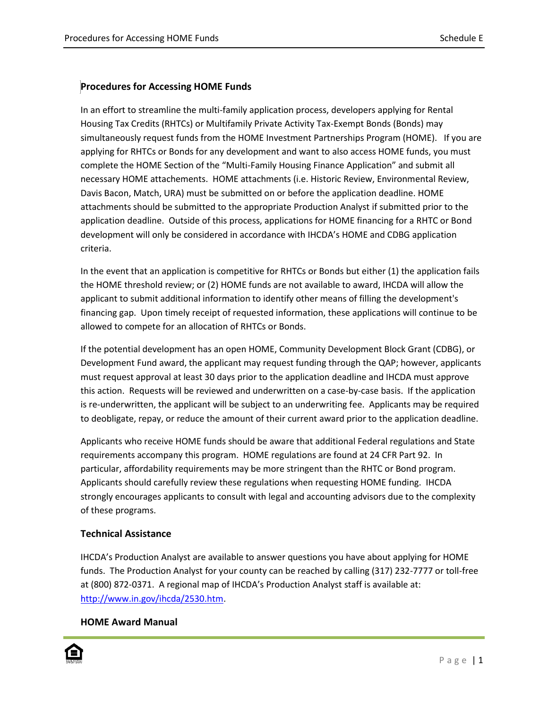## **Procedures for Accessing HOME Funds**

In an effort to streamline the multi-family application process, developers applying for Rental Housing Tax Credits (RHTCs) or Multifamily Private Activity Tax-Exempt Bonds (Bonds) may simultaneously request funds from the HOME Investment Partnerships Program (HOME). If you are applying for RHTCs or Bonds for any development and want to also access HOME funds, you must complete the HOME Section of the "Multi-Family Housing Finance Application" and submit all necessary HOME attachements. HOME attachments (i.e. Historic Review, Environmental Review, Davis Bacon, Match, URA) must be submitted on or before the application deadline. HOME attachments should be submitted to the appropriate Production Analyst if submitted prior to the application deadline. Outside of this process, applications for HOME financing for a RHTC or Bond development will only be considered in accordance with IHCDA's HOME and CDBG application criteria.

In the event that an application is competitive for RHTCs or Bonds but either (1) the application fails the HOME threshold review; or (2) HOME funds are not available to award, IHCDA will allow the applicant to submit additional information to identify other means of filling the development's financing gap. Upon timely receipt of requested information, these applications will continue to be allowed to compete for an allocation of RHTCs or Bonds.

If the potential development has an open HOME, Community Development Block Grant (CDBG), or Development Fund award, the applicant may request funding through the QAP; however, applicants must request approval at least 30 days prior to the application deadline and IHCDA must approve this action. Requests will be reviewed and underwritten on a case-by-case basis. If the application is re-underwritten, the applicant will be subject to an underwriting fee. Applicants may be required to deobligate, repay, or reduce the amount of their current award prior to the application deadline.

Applicants who receive HOME funds should be aware that additional Federal regulations and State requirements accompany this program. HOME regulations are found at 24 CFR Part 92. In particular, affordability requirements may be more stringent than the RHTC or Bond program. Applicants should carefully review these regulations when requesting HOME funding. IHCDA strongly encourages applicants to consult with legal and accounting advisors due to the complexity of these programs.

## **Technical Assistance**

IHCDA's Production Analyst are available to answer questions you have about applying for HOME funds. The Production Analyst for your county can be reached by calling (317) 232-7777 or toll-free at (800) 872-0371. A regional map of IHCDA's Production Analyst staff is available at: [http://www.in.gov/ihcda/2530.htm.](http://www.in.gov/ihcda/2530.htm)

## **HOME Award Manual**

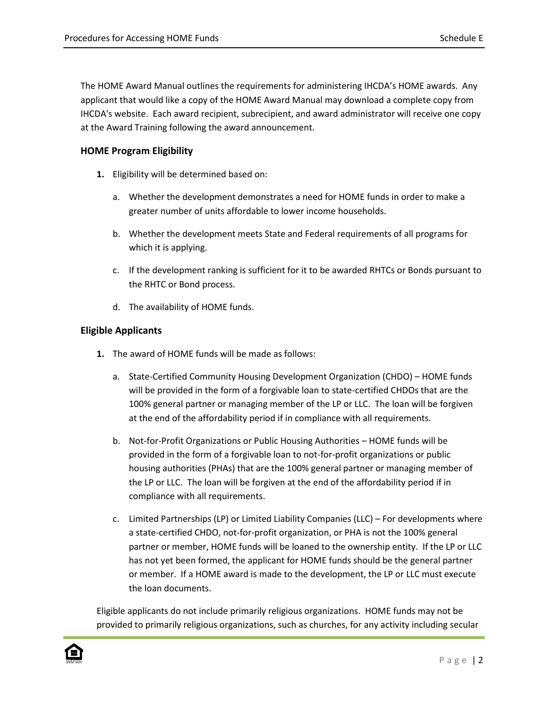The HOME Award Manual outlines the requirements for administering IHCDA's HOME awards. Any applicant that would like a copy of the HOME Award Manual may download a complete copy from IHCDA's website. Each award recipient, subrecipient, and award administrator will receive one copy at the Award Training following the award announcement.

## **HOME Program Eligibility**

- **1.** Eligibility will be determined based on:
	- a. Whether the development demonstrates a need for HOME funds in order to make a greater number of units affordable to lower income households.
	- b. Whether the development meets State and Federal requirements of all programs for which it is applying.
	- c. If the development ranking is sufficient for it to be awarded RHTCs or Bonds pursuant to the RHTC or Bond process.
	- d. The availability of HOME funds.

### **Eligible Applicants**

- **1.** The award of HOME funds will be made as follows:
	- a. State-Certified Community Housing Development Organization (CHDO) HOME funds will be provided in the form of a forgivable loan to state-certified CHDOs that are the 100% general partner or managing member of the LP or LLC. The loan will be forgiven at the end of the affordability period if in compliance with all requirements.
	- b. Not-for-Profit Organizations or Public Housing Authorities HOME funds will be provided in the form of a forgivable loan to not-for-profit organizations or public housing authorities (PHAs) that are the 100% general partner or managing member of the LP or LLC. The loan will be forgiven at the end of the affordability period if in compliance with all requirements.
	- c. Limited Partnerships (LP) or Limited Liability Companies (LLC) For developments where a state-certified CHDO, not-for-profit organization, or PHA is not the 100% general partner or member, HOME funds will be loaned to the ownership entity. If the LP or LLC has not yet been formed, the applicant for HOME funds should be the general partner or member. If a HOME award is made to the development, the LP or LLC must execute the loan documents.

Eligible applicants do not include primarily religious organizations. HOME funds may not be provided to primarily religious organizations, such as churches, for any activity including secular

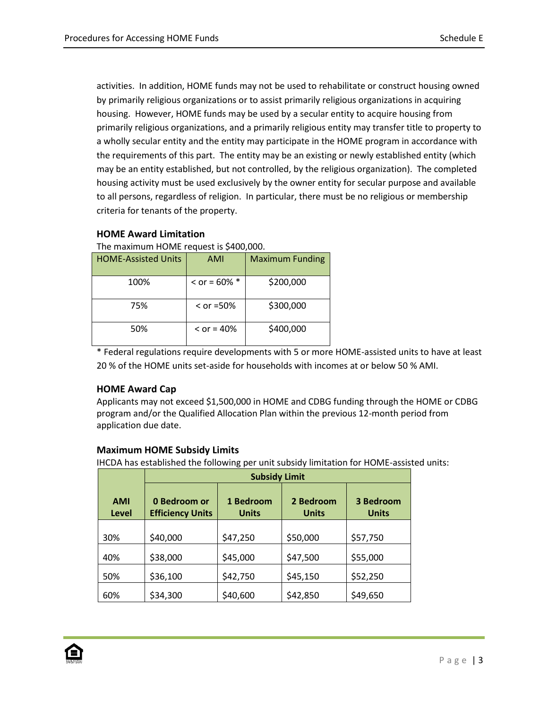activities. In addition, HOME funds may not be used to rehabilitate or construct housing owned by primarily religious organizations or to assist primarily religious organizations in acquiring housing. However, HOME funds may be used by a secular entity to acquire housing from primarily religious organizations, and a primarily religious entity may transfer title to property to a wholly secular entity and the entity may participate in the HOME program in accordance with the requirements of this part. The entity may be an existing or newly established entity (which may be an entity established, but not controlled, by the religious organization). The completed housing activity must be used exclusively by the owner entity for secular purpose and available to all persons, regardless of religion. In particular, there must be no religious or membership criteria for tenants of the property.

## **HOME Award Limitation**

The maximum HOME request is \$400,000.

| <b>HOME-Assisted Units</b> | AMI                 | <b>Maximum Funding</b> |
|----------------------------|---------------------|------------------------|
| 100%                       | $<$ or = 60% $*$    | \$200,000              |
| 75%                        | $\le$ or =50%       | \$300,000              |
| 50%                        | $\epsilon$ or = 40% | \$400,000              |

\* Federal regulations require developments with 5 or more HOME-assisted units to have at least 20 % of the HOME units set-aside for households with incomes at or below 50 % AMI.

## **HOME Award Cap**

Applicants may not exceed \$1,500,000 in HOME and CDBG funding through the HOME or CDBG program and/or the Qualified Allocation Plan within the previous 12-month period from application due date.

## **Maximum HOME Subsidy Limits**

IHCDA has established the following per unit subsidy limitation for HOME-assisted units:

|                     | <b>Subsidy Limit</b>                    |                           |                           |                           |
|---------------------|-----------------------------------------|---------------------------|---------------------------|---------------------------|
| <b>AMI</b><br>Level | 0 Bedroom or<br><b>Efficiency Units</b> | 1 Bedroom<br><b>Units</b> | 2 Bedroom<br><b>Units</b> | 3 Bedroom<br><b>Units</b> |
| 30%                 | \$40,000                                | \$47,250                  | \$50,000                  | \$57,750                  |
| 40%                 | \$38,000                                | \$45,000                  | \$47,500                  | \$55,000                  |
| 50%                 | \$36,100                                | \$42,750                  | \$45,150                  | \$52,250                  |
| 60%                 | \$34,300                                | \$40,600                  | \$42,850                  | \$49,650                  |

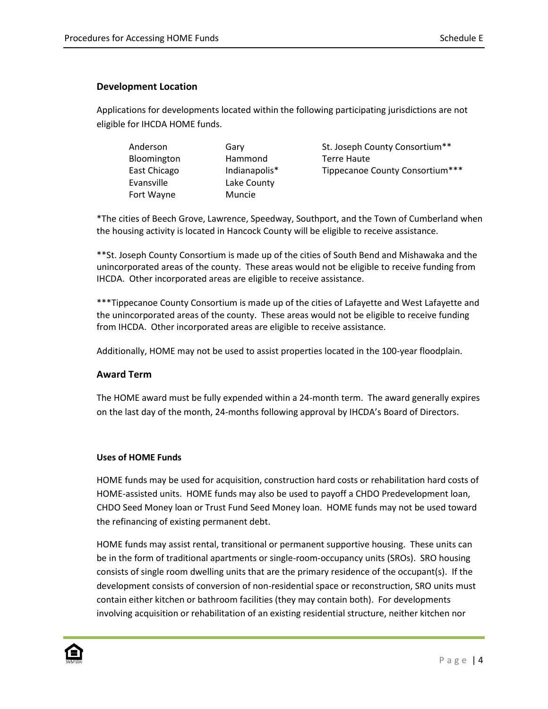#### **Development Location**

Applications for developments located within the following participating jurisdictions are not eligible for IHCDA HOME funds.

| Anderson     | Gary          | St. Joseph County Consortium**  |
|--------------|---------------|---------------------------------|
| Bloomington  | Hammond       | <b>Terre Haute</b>              |
| East Chicago | Indianapolis* | Tippecanoe County Consortium*** |
| Evansville   | Lake County   |                                 |
| Fort Wayne   | Muncie        |                                 |

\*The cities of Beech Grove, Lawrence, Speedway, Southport, and the Town of Cumberland when the housing activity is located in Hancock County will be eligible to receive assistance.

\*\*St. Joseph County Consortium is made up of the cities of South Bend and Mishawaka and the unincorporated areas of the county. These areas would not be eligible to receive funding from IHCDA. Other incorporated areas are eligible to receive assistance.

\*\*\*Tippecanoe County Consortium is made up of the cities of Lafayette and West Lafayette and the unincorporated areas of the county. These areas would not be eligible to receive funding from IHCDA. Other incorporated areas are eligible to receive assistance.

Additionally, HOME may not be used to assist properties located in the 100-year floodplain.

### **Award Term**

The HOME award must be fully expended within a 24-month term. The award generally expires on the last day of the month, 24-months following approval by IHCDA's Board of Directors.

#### **Uses of HOME Funds**

HOME funds may be used for acquisition, construction hard costs or rehabilitation hard costs of HOME-assisted units. HOME funds may also be used to payoff a CHDO Predevelopment loan, CHDO Seed Money loan or Trust Fund Seed Money loan. HOME funds may not be used toward the refinancing of existing permanent debt.

HOME funds may assist rental, transitional or permanent supportive housing. These units can be in the form of traditional apartments or single-room-occupancy units (SROs). SRO housing consists of single room dwelling units that are the primary residence of the occupant(s). If the development consists of conversion of non-residential space or reconstruction, SRO units must contain either kitchen or bathroom facilities (they may contain both). For developments involving acquisition or rehabilitation of an existing residential structure, neither kitchen nor

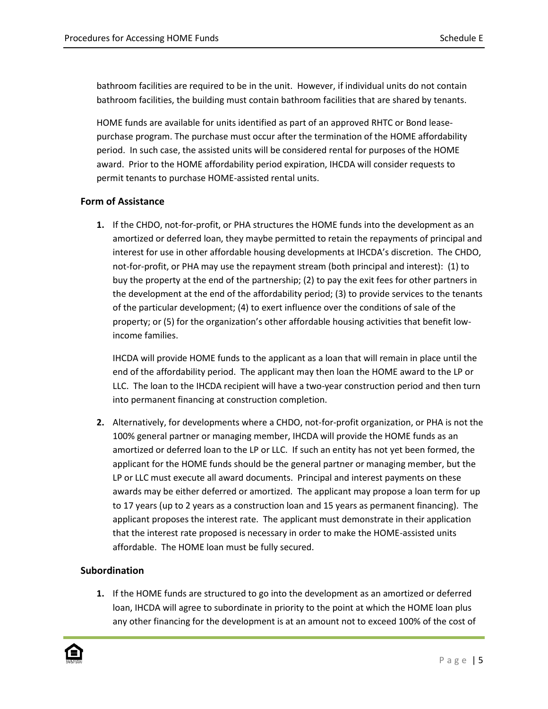bathroom facilities are required to be in the unit. However, if individual units do not contain bathroom facilities, the building must contain bathroom facilities that are shared by tenants.

HOME funds are available for units identified as part of an approved RHTC or Bond leasepurchase program. The purchase must occur after the termination of the HOME affordability period. In such case, the assisted units will be considered rental for purposes of the HOME award. Prior to the HOME affordability period expiration, IHCDA will consider requests to permit tenants to purchase HOME-assisted rental units.

#### **Form of Assistance**

**1.** If the CHDO, not-for-profit, or PHA structures the HOME funds into the development as an amortized or deferred loan, they maybe permitted to retain the repayments of principal and interest for use in other affordable housing developments at IHCDA's discretion. The CHDO, not-for-profit, or PHA may use the repayment stream (both principal and interest): (1) to buy the property at the end of the partnership; (2) to pay the exit fees for other partners in the development at the end of the affordability period; (3) to provide services to the tenants of the particular development; (4) to exert influence over the conditions of sale of the property; or (5) for the organization's other affordable housing activities that benefit lowincome families.

IHCDA will provide HOME funds to the applicant as a loan that will remain in place until the end of the affordability period. The applicant may then loan the HOME award to the LP or LLC. The loan to the IHCDA recipient will have a two-year construction period and then turn into permanent financing at construction completion.

**2.** Alternatively, for developments where a CHDO, not-for-profit organization, or PHA is not the 100% general partner or managing member, IHCDA will provide the HOME funds as an amortized or deferred loan to the LP or LLC. If such an entity has not yet been formed, the applicant for the HOME funds should be the general partner or managing member, but the LP or LLC must execute all award documents. Principal and interest payments on these awards may be either deferred or amortized. The applicant may propose a loan term for up to 17 years (up to 2 years as a construction loan and 15 years as permanent financing). The applicant proposes the interest rate. The applicant must demonstrate in their application that the interest rate proposed is necessary in order to make the HOME-assisted units affordable. The HOME loan must be fully secured.

### **Subordination**

**1.** If the HOME funds are structured to go into the development as an amortized or deferred loan, IHCDA will agree to subordinate in priority to the point at which the HOME loan plus any other financing for the development is at an amount not to exceed 100% of the cost of

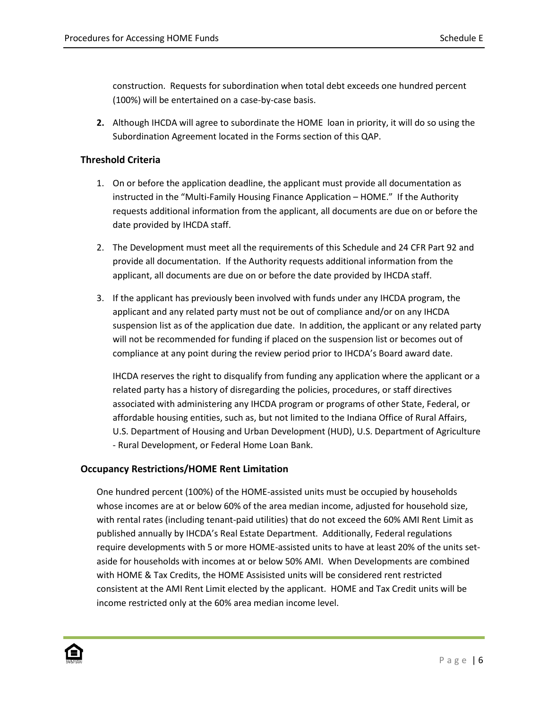construction. Requests for subordination when total debt exceeds one hundred percent (100%) will be entertained on a case-by-case basis.

**2.** Although IHCDA will agree to subordinate the HOME loan in priority, it will do so using the Subordination Agreement located in the Forms section of this QAP.

## **Threshold Criteria**

- 1. On or before the application deadline, the applicant must provide all documentation as instructed in the "Multi-Family Housing Finance Application – HOME." If the Authority requests additional information from the applicant, all documents are due on or before the date provided by IHCDA staff.
- 2. The Development must meet all the requirements of this Schedule and 24 CFR Part 92 and provide all documentation. If the Authority requests additional information from the applicant, all documents are due on or before the date provided by IHCDA staff.
- 3. If the applicant has previously been involved with funds under any IHCDA program, the applicant and any related party must not be out of compliance and/or on any IHCDA suspension list as of the application due date. In addition, the applicant or any related party will not be recommended for funding if placed on the suspension list or becomes out of compliance at any point during the review period prior to IHCDA's Board award date.

IHCDA reserves the right to disqualify from funding any application where the applicant or a related party has a history of disregarding the policies, procedures, or staff directives associated with administering any IHCDA program or programs of other State, Federal, or affordable housing entities, such as, but not limited to the Indiana Office of Rural Affairs, U.S. Department of Housing and Urban Development (HUD), U.S. Department of Agriculture - Rural Development, or Federal Home Loan Bank.

## **Occupancy Restrictions/HOME Rent Limitation**

One hundred percent (100%) of the HOME-assisted units must be occupied by households whose incomes are at or below 60% of the area median income, adjusted for household size, with rental rates (including tenant-paid utilities) that do not exceed the 60% AMI Rent Limit as published annually by IHCDA's Real Estate Department. Additionally, Federal regulations require developments with 5 or more HOME-assisted units to have at least 20% of the units setaside for households with incomes at or below 50% AMI. When Developments are combined with HOME & Tax Credits, the HOME Assisisted units will be considered rent restricted consistent at the AMI Rent Limit elected by the applicant. HOME and Tax Credit units will be income restricted only at the 60% area median income level.

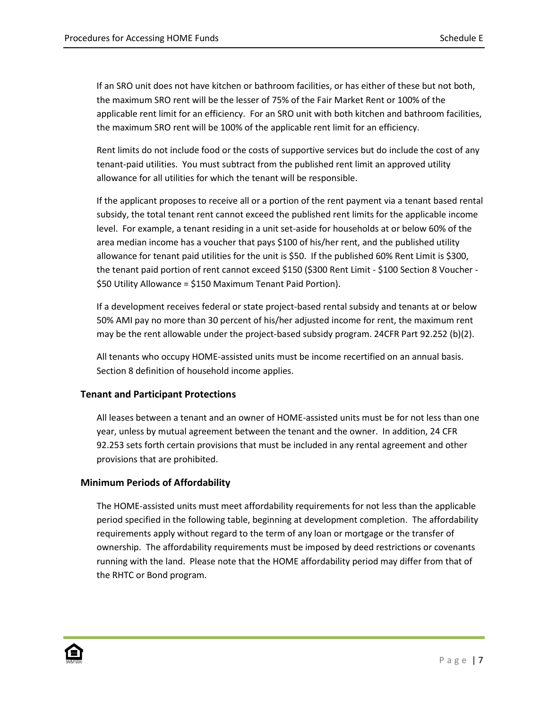If an SRO unit does not have kitchen or bathroom facilities, or has either of these but not both, the maximum SRO rent will be the lesser of 75% of the Fair Market Rent or 100% of the applicable rent limit for an efficiency. For an SRO unit with both kitchen and bathroom facilities, the maximum SRO rent will be 100% of the applicable rent limit for an efficiency.

Rent limits do not include food or the costs of supportive services but do include the cost of any tenant-paid utilities. You must subtract from the published rent limit an approved utility allowance for all utilities for which the tenant will be responsible.

If the applicant proposes to receive all or a portion of the rent payment via a tenant based rental subsidy, the total tenant rent cannot exceed the published rent limits for the applicable income level. For example, a tenant residing in a unit set-aside for households at or below 60% of the area median income has a voucher that pays \$100 of his/her rent, and the published utility allowance for tenant paid utilities for the unit is \$50. If the published 60% Rent Limit is \$300, the tenant paid portion of rent cannot exceed \$150 (\$300 Rent Limit - \$100 Section 8 Voucher - \$50 Utility Allowance = \$150 Maximum Tenant Paid Portion).

If a development receives federal or state project-based rental subsidy and tenants at or below 50% AMI pay no more than 30 percent of his/her adjusted income for rent, the maximum rent may be the rent allowable under the project-based subsidy program. 24CFR Part 92.252 (b)(2).

All tenants who occupy HOME-assisted units must be income recertified on an annual basis. Section 8 definition of household income applies.

## **Tenant and Participant Protections**

All leases between a tenant and an owner of HOME-assisted units must be for not less than one year, unless by mutual agreement between the tenant and the owner. In addition, 24 CFR 92.253 sets forth certain provisions that must be included in any rental agreement and other provisions that are prohibited.

## **Minimum Periods of Affordability**

The HOME-assisted units must meet affordability requirements for not less than the applicable period specified in the following table, beginning at development completion. The affordability requirements apply without regard to the term of any loan or mortgage or the transfer of ownership. The affordability requirements must be imposed by deed restrictions or covenants running with the land. Please note that the HOME affordability period may differ from that of the RHTC or Bond program.

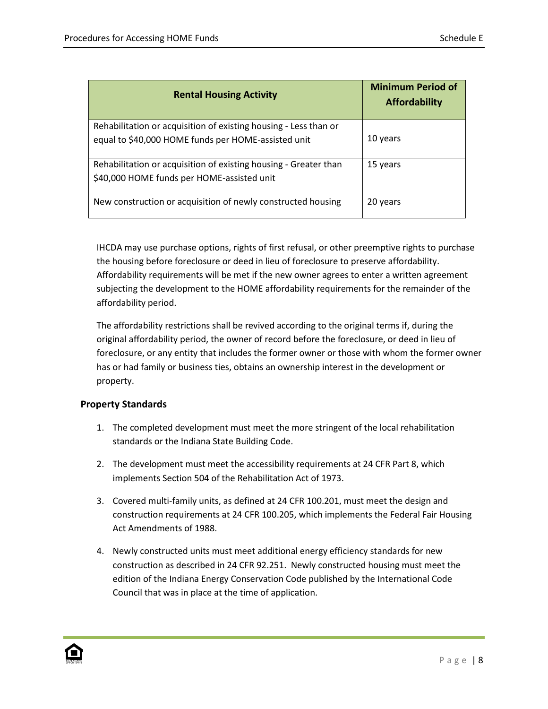| <b>Rental Housing Activity</b>                                                                                          | <b>Minimum Period of</b><br><b>Affordability</b> |
|-------------------------------------------------------------------------------------------------------------------------|--------------------------------------------------|
| Rehabilitation or acquisition of existing housing - Less than or<br>equal to \$40,000 HOME funds per HOME-assisted unit | 10 years                                         |
| Rehabilitation or acquisition of existing housing - Greater than<br>\$40,000 HOME funds per HOME-assisted unit          | 15 years                                         |
| New construction or acquisition of newly constructed housing                                                            | 20 years                                         |

IHCDA may use purchase options, rights of first refusal, or other preemptive rights to purchase the housing before foreclosure or deed in lieu of foreclosure to preserve affordability. Affordability requirements will be met if the new owner agrees to enter a written agreement subjecting the development to the HOME affordability requirements for the remainder of the affordability period.

The affordability restrictions shall be revived according to the original terms if, during the original affordability period, the owner of record before the foreclosure, or deed in lieu of foreclosure, or any entity that includes the former owner or those with whom the former owner has or had family or business ties, obtains an ownership interest in the development or property.

## **Property Standards**

- 1. The completed development must meet the more stringent of the local rehabilitation standards or the Indiana State Building Code.
- 2. The development must meet the accessibility requirements at 24 CFR Part 8, which implements Section 504 of the Rehabilitation Act of 1973.
- 3. Covered multi-family units, as defined at 24 CFR 100.201, must meet the design and construction requirements at 24 CFR 100.205, which implements the Federal Fair Housing Act Amendments of 1988.
- 4. Newly constructed units must meet additional energy efficiency standards for new construction as described in 24 CFR 92.251. Newly constructed housing must meet the edition of the Indiana Energy Conservation Code published by the International Code Council that was in place at the time of application.

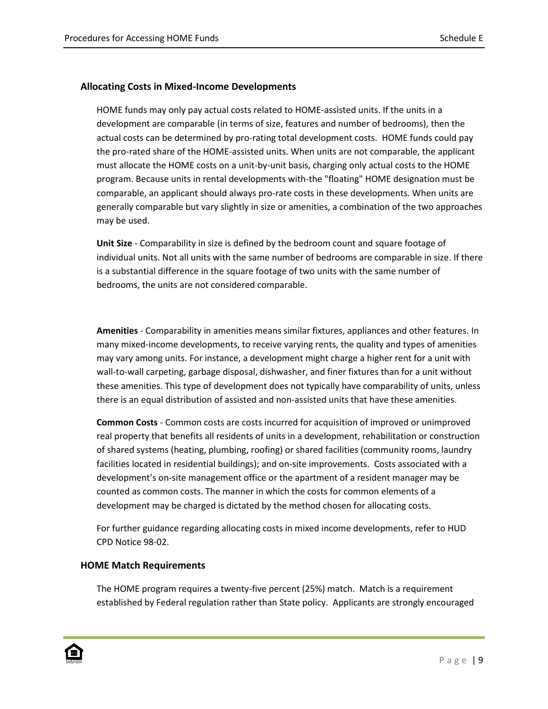#### **Allocating Costs in Mixed-Income Developments**

HOME funds may only pay actual costs related to HOME-assisted units. If the units in a development are comparable (in terms of size, features and number of bedrooms), then the actual costs can be determined by pro-rating total development costs. HOME funds could pay the pro-rated share of the HOME-assisted units. When units are not comparable, the applicant must allocate the HOME costs on a unit-by-unit basis, charging only actual costs to the HOME program. Because units in rental developments with-the "floating" HOME designation must be comparable, an applicant should always pro-rate costs in these developments. When units are generally comparable but vary slightly in size or amenities, a combination of the two approaches may be used.

**Unit Size** - Comparability in size is defined by the bedroom count and square footage of individual units. Not all units with the same number of bedrooms are comparable in size. If there is a substantial difference in the square footage of two units with the same number of bedrooms, the units are not considered comparable.

**Amenities** - Comparability in amenities means similar fixtures, appliances and other features. In many mixed-income developments, to receive varying rents, the quality and types of amenities may vary among units. For instance, a development might charge a higher rent for a unit with wall-to-wall carpeting, garbage disposal, dishwasher, and finer fixtures than for a unit without these amenities. This type of development does not typically have comparability of units, unless there is an equal distribution of assisted and non-assisted units that have these amenities.

**Common Costs** - Common costs are costs incurred for acquisition of improved or unimproved real property that benefits all residents of units in a development, rehabilitation or construction of shared systems (heating, plumbing, roofing) or shared facilities (community rooms, laundry facilities located in residential buildings); and on-site improvements. Costs associated with a development's on-site management office or the apartment of a resident manager may be counted as common costs. The manner in which the costs for common elements of a development may be charged is dictated by the method chosen for allocating costs.

For further guidance regarding allocating costs in mixed income developments, refer to HUD CPD Notice 98-02.

#### **HOME Match Requirements**

The HOME program requires a twenty-five percent (25%) match. Match is a requirement established by Federal regulation rather than State policy. Applicants are strongly encouraged

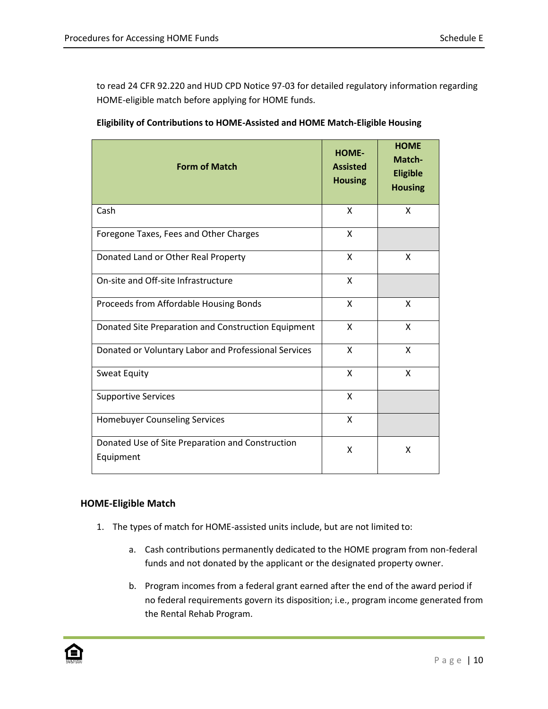to read 24 CFR 92.220 and HUD CPD Notice 97-03 for detailed regulatory information regarding HOME-eligible match before applying for HOME funds.

| <b>Form of Match</b>                                          | <b>HOME-</b><br><b>Assisted</b><br><b>Housing</b> | <b>HOME</b><br>Match-<br><b>Eligible</b><br><b>Housing</b> |
|---------------------------------------------------------------|---------------------------------------------------|------------------------------------------------------------|
| Cash                                                          | X                                                 | X                                                          |
| Foregone Taxes, Fees and Other Charges                        | X                                                 |                                                            |
| Donated Land or Other Real Property                           | X                                                 | X                                                          |
| On-site and Off-site Infrastructure                           | X                                                 |                                                            |
| Proceeds from Affordable Housing Bonds                        | X                                                 | X                                                          |
| Donated Site Preparation and Construction Equipment           | X                                                 | X                                                          |
| Donated or Voluntary Labor and Professional Services          | X                                                 | X                                                          |
| Sweat Equity                                                  | X                                                 | X                                                          |
| <b>Supportive Services</b>                                    | X                                                 |                                                            |
| Homebuyer Counseling Services                                 | X                                                 |                                                            |
| Donated Use of Site Preparation and Construction<br>Equipment | x                                                 | Χ                                                          |

**Eligibility of Contributions to HOME-Assisted and HOME Match-Eligible Housing**

## **HOME-Eligible Match**

- 1. The types of match for HOME-assisted units include, but are not limited to:
	- a. Cash contributions permanently dedicated to the HOME program from non-federal funds and not donated by the applicant or the designated property owner.
	- b. Program incomes from a federal grant earned after the end of the award period if no federal requirements govern its disposition; i.e., program income generated from the Rental Rehab Program.

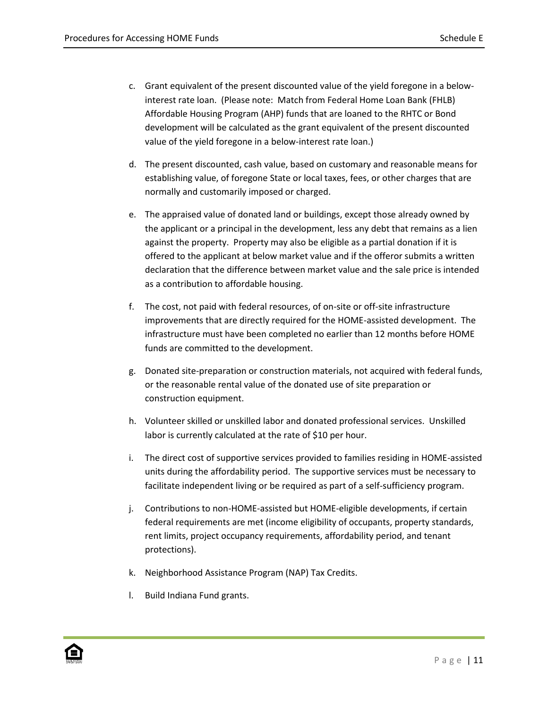- c. Grant equivalent of the present discounted value of the yield foregone in a belowinterest rate loan. (Please note: Match from Federal Home Loan Bank (FHLB) Affordable Housing Program (AHP) funds that are loaned to the RHTC or Bond development will be calculated as the grant equivalent of the present discounted value of the yield foregone in a below-interest rate loan.)
- d. The present discounted, cash value, based on customary and reasonable means for establishing value, of foregone State or local taxes, fees, or other charges that are normally and customarily imposed or charged.
- e. The appraised value of donated land or buildings, except those already owned by the applicant or a principal in the development, less any debt that remains as a lien against the property. Property may also be eligible as a partial donation if it is offered to the applicant at below market value and if the offeror submits a written declaration that the difference between market value and the sale price is intended as a contribution to affordable housing.
- f. The cost, not paid with federal resources, of on-site or off-site infrastructure improvements that are directly required for the HOME-assisted development. The infrastructure must have been completed no earlier than 12 months before HOME funds are committed to the development.
- g. Donated site-preparation or construction materials, not acquired with federal funds, or the reasonable rental value of the donated use of site preparation or construction equipment.
- h. Volunteer skilled or unskilled labor and donated professional services. Unskilled labor is currently calculated at the rate of \$10 per hour.
- i. The direct cost of supportive services provided to families residing in HOME-assisted units during the affordability period. The supportive services must be necessary to facilitate independent living or be required as part of a self-sufficiency program.
- j. Contributions to non-HOME-assisted but HOME-eligible developments, if certain federal requirements are met (income eligibility of occupants, property standards, rent limits, project occupancy requirements, affordability period, and tenant protections).
- k. Neighborhood Assistance Program (NAP) Tax Credits.
- l. Build Indiana Fund grants.

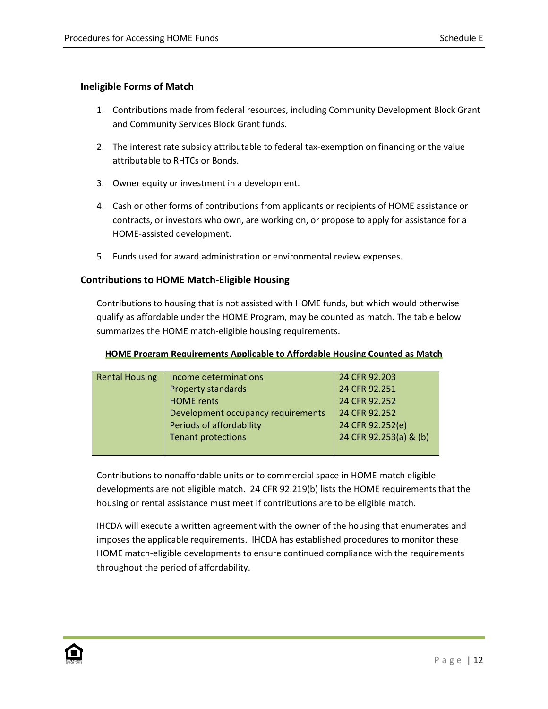## **Ineligible Forms of Match**

- 1. Contributions made from federal resources, including Community Development Block Grant and Community Services Block Grant funds.
- 2. The interest rate subsidy attributable to federal tax-exemption on financing or the value attributable to RHTCs or Bonds.
- 3. Owner equity or investment in a development.
- 4. Cash or other forms of contributions from applicants or recipients of HOME assistance or contracts, or investors who own, are working on, or propose to apply for assistance for a HOME-assisted development.
- 5. Funds used for award administration or environmental review expenses.

## **Contributions to HOME Match-Eligible Housing**

Contributions to housing that is not assisted with HOME funds, but which would otherwise qualify as affordable under the HOME Program, may be counted as match. The table below summarizes the HOME match-eligible housing requirements.

| Rental Housing   Income determinations | 24 CFR 92.203             |
|----------------------------------------|---------------------------|
|                                        | <u>a diaman a a amin'</u> |

**HOME Program Requirements Applicable to Affordable Housing Counted as Match**

| Rental Housing | income determinations              | 24 CFR 92.203          |
|----------------|------------------------------------|------------------------|
|                | <b>Property standards</b>          | 24 CFR 92.251          |
|                | <b>HOME</b> rents                  | 24 CFR 92.252          |
|                | Development occupancy requirements | 24 CFR 92.252          |
|                | Periods of affordability           | 24 CFR 92.252(e)       |
|                | <b>Tenant protections</b>          | 24 CFR 92.253(a) & (b) |
|                |                                    |                        |

Contributions to nonaffordable units or to commercial space in HOME-match eligible developments are not eligible match. 24 CFR 92.219(b) lists the HOME requirements that the housing or rental assistance must meet if contributions are to be eligible match.

IHCDA will execute a written agreement with the owner of the housing that enumerates and imposes the applicable requirements. IHCDA has established procedures to monitor these HOME match-eligible developments to ensure continued compliance with the requirements throughout the period of affordability.

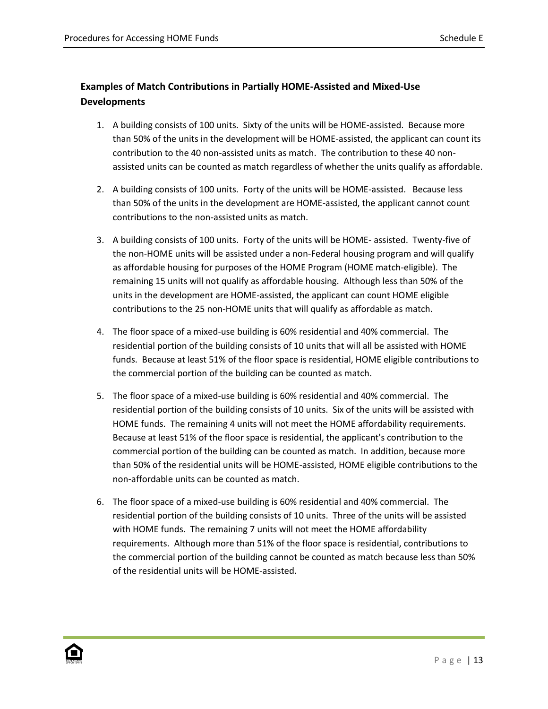# **Examples of Match Contributions in Partially HOME-Assisted and Mixed-Use Developments**

- 1. A building consists of 100 units. Sixty of the units will be HOME-assisted. Because more than 50% of the units in the development will be HOME-assisted, the applicant can count its contribution to the 40 non-assisted units as match. The contribution to these 40 nonassisted units can be counted as match regardless of whether the units qualify as affordable.
- 2. A building consists of 100 units. Forty of the units will be HOME-assisted. Because less than 50% of the units in the development are HOME-assisted, the applicant cannot count contributions to the non-assisted units as match.
- 3. A building consists of 100 units. Forty of the units will be HOME- assisted. Twenty-five of the non-HOME units will be assisted under a non-Federal housing program and will qualify as affordable housing for purposes of the HOME Program (HOME match-eligible). The remaining 15 units will not qualify as affordable housing. Although less than 50% of the units in the development are HOME-assisted, the applicant can count HOME eligible contributions to the 25 non-HOME units that will qualify as affordable as match.
- 4. The floor space of a mixed-use building is 60% residential and 40% commercial. The residential portion of the building consists of 10 units that will all be assisted with HOME funds. Because at least 51% of the floor space is residential, HOME eligible contributions to the commercial portion of the building can be counted as match.
- 5. The floor space of a mixed-use building is 60% residential and 40% commercial. The residential portion of the building consists of 10 units. Six of the units will be assisted with HOME funds. The remaining 4 units will not meet the HOME affordability requirements. Because at least 51% of the floor space is residential, the applicant's contribution to the commercial portion of the building can be counted as match. In addition, because more than 50% of the residential units will be HOME-assisted, HOME eligible contributions to the non-affordable units can be counted as match.
- 6. The floor space of a mixed-use building is 60% residential and 40% commercial. The residential portion of the building consists of 10 units. Three of the units will be assisted with HOME funds. The remaining 7 units will not meet the HOME affordability requirements. Although more than 51% of the floor space is residential, contributions to the commercial portion of the building cannot be counted as match because less than 50% of the residential units will be HOME-assisted.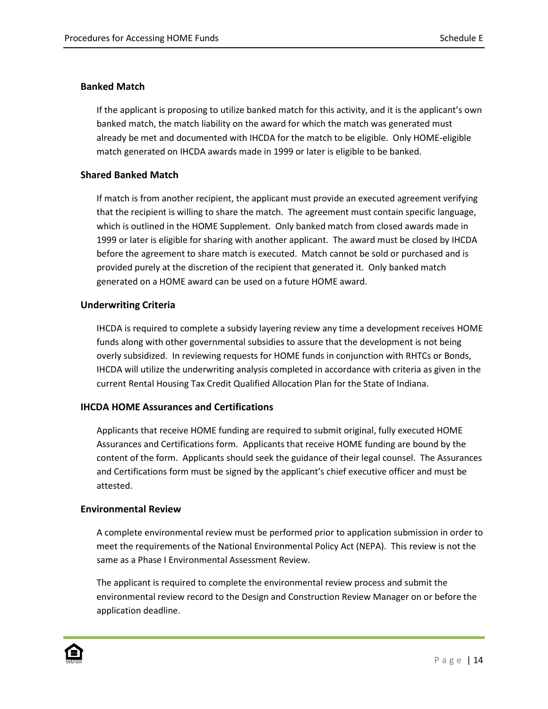#### **Banked Match**

If the applicant is proposing to utilize banked match for this activity, and it is the applicant's own banked match, the match liability on the award for which the match was generated must already be met and documented with IHCDA for the match to be eligible. Only HOME-eligible match generated on IHCDA awards made in 1999 or later is eligible to be banked.

#### **Shared Banked Match**

If match is from another recipient, the applicant must provide an executed agreement verifying that the recipient is willing to share the match. The agreement must contain specific language, which is outlined in the HOME Supplement. Only banked match from closed awards made in 1999 or later is eligible for sharing with another applicant. The award must be closed by IHCDA before the agreement to share match is executed. Match cannot be sold or purchased and is provided purely at the discretion of the recipient that generated it. Only banked match generated on a HOME award can be used on a future HOME award.

### **Underwriting Criteria**

IHCDA is required to complete a subsidy layering review any time a development receives HOME funds along with other governmental subsidies to assure that the development is not being overly subsidized. In reviewing requests for HOME funds in conjunction with RHTCs or Bonds, IHCDA will utilize the underwriting analysis completed in accordance with criteria as given in the current Rental Housing Tax Credit Qualified Allocation Plan for the State of Indiana.

## **IHCDA HOME Assurances and Certifications**

Applicants that receive HOME funding are required to submit original, fully executed HOME Assurances and Certifications form. Applicants that receive HOME funding are bound by the content of the form. Applicants should seek the guidance of their legal counsel. The Assurances and Certifications form must be signed by the applicant's chief executive officer and must be attested.

#### **Environmental Review**

A complete environmental review must be performed prior to application submission in order to meet the requirements of the National Environmental Policy Act (NEPA). This review is not the same as a Phase I Environmental Assessment Review.

The applicant is required to complete the environmental review process and submit the environmental review record to the Design and Construction Review Manager on or before the application deadline.

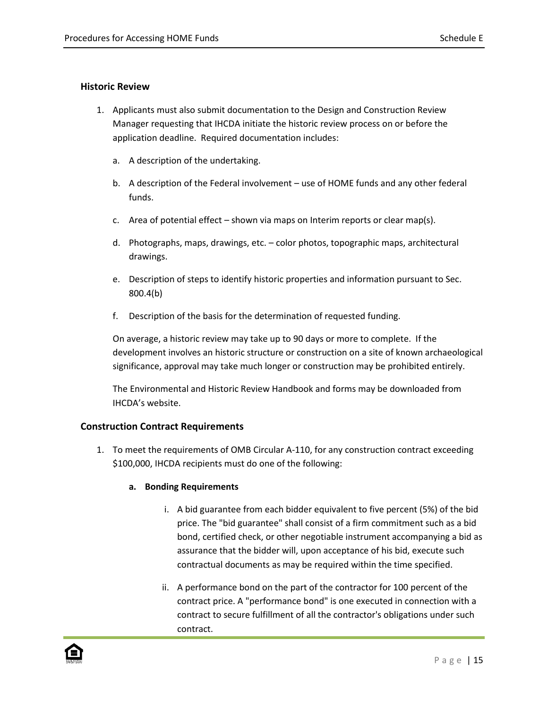### **Historic Review**

- 1. Applicants must also submit documentation to the Design and Construction Review Manager requesting that IHCDA initiate the historic review process on or before the application deadline. Required documentation includes:
	- a. A description of the undertaking.
	- b. A description of the Federal involvement use of HOME funds and any other federal funds.
	- c. Area of potential effect shown via maps on Interim reports or clear map(s).
	- d. Photographs, maps, drawings, etc. color photos, topographic maps, architectural drawings.
	- e. Description of steps to identify historic properties and information pursuant to Sec. 800.4(b)
	- f. Description of the basis for the determination of requested funding.

On average, a historic review may take up to 90 days or more to complete. If the development involves an historic structure or construction on a site of known archaeological significance, approval may take much longer or construction may be prohibited entirely.

The Environmental and Historic Review Handbook and forms may be downloaded from IHCDA's website.

## **Construction Contract Requirements**

1. To meet the requirements of OMB Circular A-110, for any construction contract exceeding \$100,000, IHCDA recipients must do one of the following:

## **a. Bonding Requirements**

- i. A bid guarantee from each bidder equivalent to five percent (5%) of the bid price. The "bid guarantee" shall consist of a firm commitment such as a bid bond, certified check, or other negotiable instrument accompanying a bid as assurance that the bidder will, upon acceptance of his bid, execute such contractual documents as may be required within the time specified.
- ii. A performance bond on the part of the contractor for 100 percent of the contract price. A "performance bond" is one executed in connection with a contract to secure fulfillment of all the contractor's obligations under such contract.

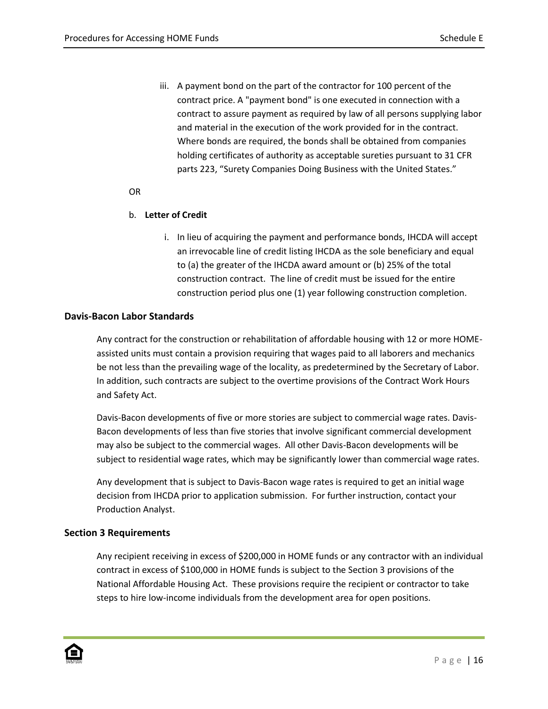iii. A payment bond on the part of the contractor for 100 percent of the contract price. A "payment bond" is one executed in connection with a contract to assure payment as required by law of all persons supplying labor and material in the execution of the work provided for in the contract. Where bonds are required, the bonds shall be obtained from companies holding certificates of authority as acceptable sureties pursuant to 31 CFR parts 223, "Surety Companies Doing Business with the United States."

#### OR

### b. **Letter of Credit**

i. In lieu of acquiring the payment and performance bonds, IHCDA will accept an irrevocable line of credit listing IHCDA as the sole beneficiary and equal to (a) the greater of the IHCDA award amount or (b) 25% of the total construction contract. The line of credit must be issued for the entire construction period plus one (1) year following construction completion.

### **Davis-Bacon Labor Standards**

Any contract for the construction or rehabilitation of affordable housing with 12 or more HOMEassisted units must contain a provision requiring that wages paid to all laborers and mechanics be not less than the prevailing wage of the locality, as predetermined by the Secretary of Labor. In addition, such contracts are subject to the overtime provisions of the Contract Work Hours and Safety Act.

Davis-Bacon developments of five or more stories are subject to commercial wage rates. Davis-Bacon developments of less than five stories that involve significant commercial development may also be subject to the commercial wages. All other Davis-Bacon developments will be subject to residential wage rates, which may be significantly lower than commercial wage rates.

Any development that is subject to Davis-Bacon wage rates is required to get an initial wage decision from IHCDA prior to application submission. For further instruction, contact your Production Analyst.

#### **Section 3 Requirements**

Any recipient receiving in excess of \$200,000 in HOME funds or any contractor with an individual contract in excess of \$100,000 in HOME funds is subject to the Section 3 provisions of the National Affordable Housing Act. These provisions require the recipient or contractor to take steps to hire low-income individuals from the development area for open positions.

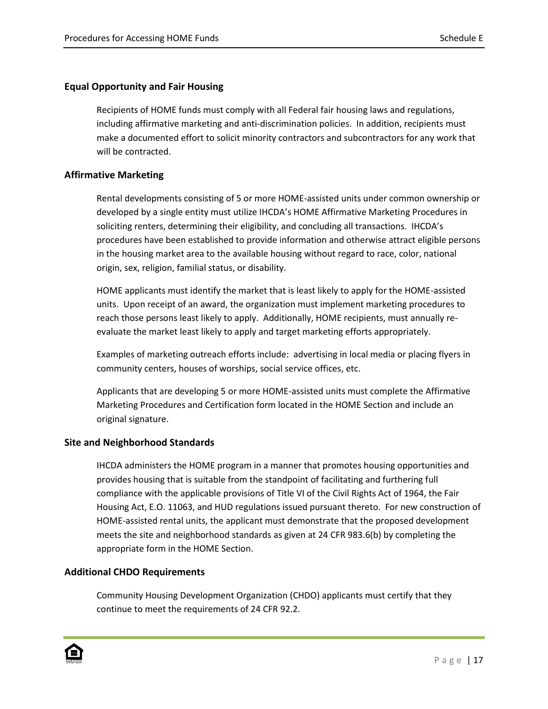#### **Equal Opportunity and Fair Housing**

Recipients of HOME funds must comply with all Federal fair housing laws and regulations, including affirmative marketing and anti-discrimination policies. In addition, recipients must make a documented effort to solicit minority contractors and subcontractors for any work that will be contracted.

#### **Affirmative Marketing**

Rental developments consisting of 5 or more HOME-assisted units under common ownership or developed by a single entity must utilize IHCDA's HOME Affirmative Marketing Procedures in soliciting renters, determining their eligibility, and concluding all transactions. IHCDA's procedures have been established to provide information and otherwise attract eligible persons in the housing market area to the available housing without regard to race, color, national origin, sex, religion, familial status, or disability.

HOME applicants must identify the market that is least likely to apply for the HOME-assisted units. Upon receipt of an award, the organization must implement marketing procedures to reach those persons least likely to apply. Additionally, HOME recipients, must annually reevaluate the market least likely to apply and target marketing efforts appropriately.

Examples of marketing outreach efforts include: advertising in local media or placing flyers in community centers, houses of worships, social service offices, etc.

Applicants that are developing 5 or more HOME-assisted units must complete the Affirmative Marketing Procedures and Certification form located in the HOME Section and include an original signature.

#### **Site and Neighborhood Standards**

IHCDA administers the HOME program in a manner that promotes housing opportunities and provides housing that is suitable from the standpoint of facilitating and furthering full compliance with the applicable provisions of Title VI of the Civil Rights Act of 1964, the Fair Housing Act, E.O. 11063, and HUD regulations issued pursuant thereto. For new construction of HOME-assisted rental units, the applicant must demonstrate that the proposed development meets the site and neighborhood standards as given at 24 CFR 983.6(b) by completing the appropriate form in the HOME Section.

#### **Additional CHDO Requirements**

Community Housing Development Organization (CHDO) applicants must certify that they continue to meet the requirements of 24 CFR 92.2.

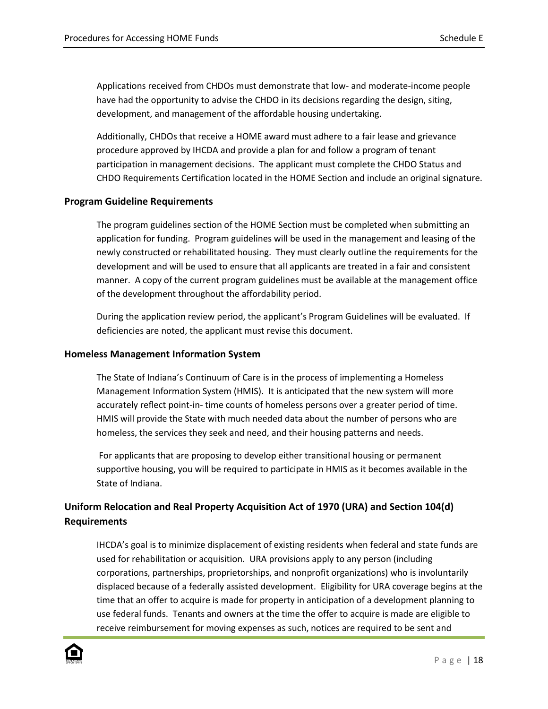Applications received from CHDOs must demonstrate that low- and moderate-income people have had the opportunity to advise the CHDO in its decisions regarding the design, siting, development, and management of the affordable housing undertaking.

Additionally, CHDOs that receive a HOME award must adhere to a fair lease and grievance procedure approved by IHCDA and provide a plan for and follow a program of tenant participation in management decisions. The applicant must complete the CHDO Status and CHDO Requirements Certification located in the HOME Section and include an original signature.

#### **Program Guideline Requirements**

The program guidelines section of the HOME Section must be completed when submitting an application for funding. Program guidelines will be used in the management and leasing of the newly constructed or rehabilitated housing. They must clearly outline the requirements for the development and will be used to ensure that all applicants are treated in a fair and consistent manner. A copy of the current program guidelines must be available at the management office of the development throughout the affordability period.

During the application review period, the applicant's Program Guidelines will be evaluated. If deficiencies are noted, the applicant must revise this document.

#### **Homeless Management Information System**

The State of Indiana's Continuum of Care is in the process of implementing a Homeless Management Information System (HMIS). It is anticipated that the new system will more accurately reflect point-in- time counts of homeless persons over a greater period of time. HMIS will provide the State with much needed data about the number of persons who are homeless, the services they seek and need, and their housing patterns and needs.

For applicants that are proposing to develop either transitional housing or permanent supportive housing, you will be required to participate in HMIS as it becomes available in the State of Indiana.

# **Uniform Relocation and Real Property Acquisition Act of 1970 (URA) and Section 104(d) Requirements**

IHCDA's goal is to minimize displacement of existing residents when federal and state funds are used for rehabilitation or acquisition. URA provisions apply to any person (including corporations, partnerships, proprietorships, and nonprofit organizations) who is involuntarily displaced because of a federally assisted development. Eligibility for URA coverage begins at the time that an offer to acquire is made for property in anticipation of a development planning to use federal funds. Tenants and owners at the time the offer to acquire is made are eligible to receive reimbursement for moving expenses as such, notices are required to be sent and

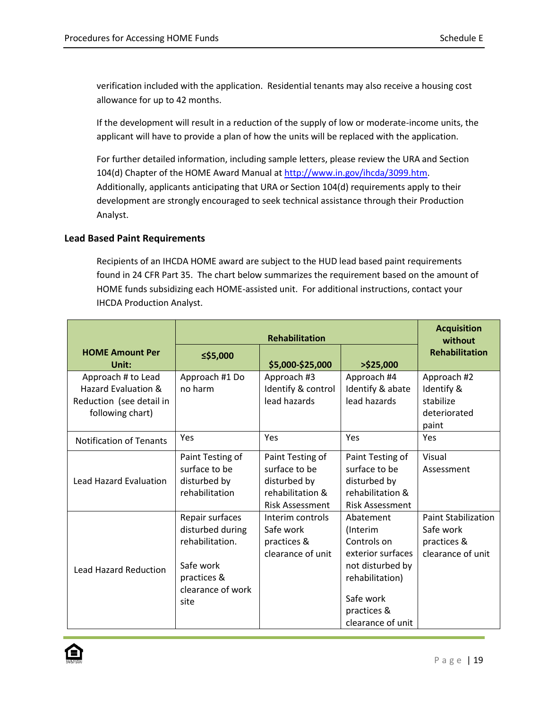verification included with the application. Residential tenants may also receive a housing cost allowance for up to 42 months.

If the development will result in a reduction of the supply of low or moderate-income units, the applicant will have to provide a plan of how the units will be replaced with the application.

For further detailed information, including sample letters, please review the URA and Section 104(d) Chapter of the HOME Award Manual at [http://www.in.gov/ihcda/3099.htm.](http://www.in.gov/ihcda/3099.htm) Additionally, applicants anticipating that URA or Section 104(d) requirements apply to their development are strongly encouraged to seek technical assistance through their Production Analyst.

## **Lead Based Paint Requirements**

Recipients of an IHCDA HOME award are subject to the HUD lead based paint requirements found in 24 CFR Part 35. The chart below summarizes the requirement based on the amount of HOME funds subsidizing each HOME-assisted unit. For additional instructions, contact your IHCDA Production Analyst.

|                                                                                           | <b>Rehabilitation</b>                                                                                           |                                                                                                 |                                                                                                                                                   | <b>Acquisition</b><br>without                                               |
|-------------------------------------------------------------------------------------------|-----------------------------------------------------------------------------------------------------------------|-------------------------------------------------------------------------------------------------|---------------------------------------------------------------------------------------------------------------------------------------------------|-----------------------------------------------------------------------------|
| <b>HOME Amount Per</b><br>Unit:                                                           | ≤\$5,000                                                                                                        | \$5,000-\$25,000                                                                                | $>$ \$25,000                                                                                                                                      | <b>Rehabilitation</b>                                                       |
| Approach # to Lead<br>Hazard Evaluation &<br>Reduction (see detail in<br>following chart) | Approach #1 Do<br>no harm                                                                                       | Approach #3<br>Identify & control<br>lead hazards                                               | Approach #4<br>Identify & abate<br>lead hazards                                                                                                   | Approach #2<br>Identify &<br>stabilize<br>deteriorated<br>paint             |
| <b>Notification of Tenants</b>                                                            | Yes                                                                                                             | Yes                                                                                             | Yes                                                                                                                                               | Yes                                                                         |
| <b>Lead Hazard Evaluation</b>                                                             | Paint Testing of<br>surface to be<br>disturbed by<br>rehabilitation                                             | Paint Testing of<br>surface to be<br>disturbed by<br>rehabilitation &<br><b>Risk Assessment</b> | Paint Testing of<br>surface to be<br>disturbed by<br>rehabilitation &<br><b>Risk Assessment</b>                                                   | Visual<br>Assessment                                                        |
| <b>Lead Hazard Reduction</b>                                                              | Repair surfaces<br>disturbed during<br>rehabilitation.<br>Safe work<br>practices &<br>clearance of work<br>site | Interim controls<br>Safe work<br>practices &<br>clearance of unit                               | Abatement<br>(Interim<br>Controls on<br>exterior surfaces<br>not disturbed by<br>rehabilitation)<br>Safe work<br>practices &<br>clearance of unit | <b>Paint Stabilization</b><br>Safe work<br>practices &<br>clearance of unit |

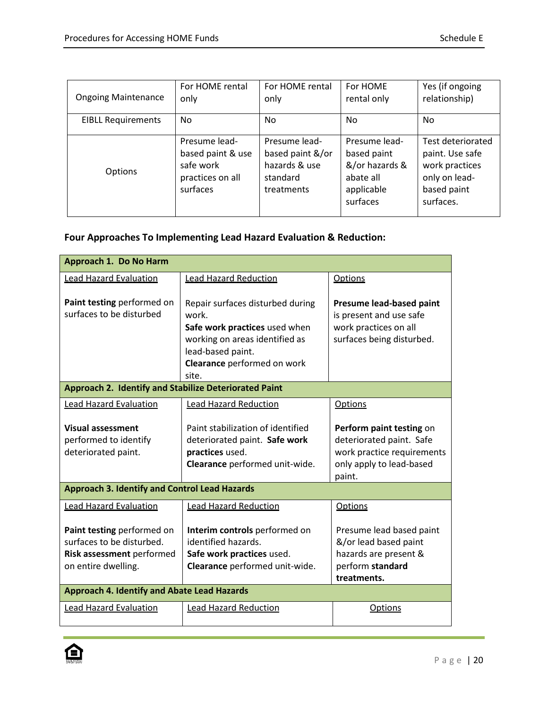| <b>Ongoing Maintenance</b> | For HOME rental<br>only                                                         | For HOME rental<br>only                                                      | For HOME<br>rental only                                                               | Yes (if ongoing<br>relationship)                                                                    |
|----------------------------|---------------------------------------------------------------------------------|------------------------------------------------------------------------------|---------------------------------------------------------------------------------------|-----------------------------------------------------------------------------------------------------|
| <b>EIBLL Requirements</b>  | N <sub>0</sub>                                                                  | No.                                                                          | No.                                                                                   | N <sub>0</sub>                                                                                      |
| <b>Options</b>             | Presume lead-<br>based paint & use<br>safe work<br>practices on all<br>surfaces | Presume lead-<br>based paint &/or<br>hazards & use<br>standard<br>treatments | Presume lead-<br>based paint<br>&/or hazards &<br>abate all<br>applicable<br>surfaces | Test deteriorated<br>paint. Use safe<br>work practices<br>only on lead-<br>based paint<br>surfaces. |

# **Four Approaches To Implementing Lead Hazard Evaluation & Reduction:**

| Approach 1. Do No Harm                                 |                                           |                                                     |  |
|--------------------------------------------------------|-------------------------------------------|-----------------------------------------------------|--|
| <b>Lead Hazard Evaluation</b>                          | <b>Lead Hazard Reduction</b>              | <b>Options</b>                                      |  |
|                                                        |                                           |                                                     |  |
| Paint testing performed on<br>surfaces to be disturbed | Repair surfaces disturbed during<br>work. | Presume lead-based paint<br>is present and use safe |  |
|                                                        | Safe work practices used when             | work practices on all                               |  |
|                                                        | working on areas identified as            | surfaces being disturbed.                           |  |
|                                                        | lead-based paint.                         |                                                     |  |
|                                                        | Clearance performed on work               |                                                     |  |
| Approach 2. Identify and Stabilize Deteriorated Paint  | site.                                     |                                                     |  |
|                                                        |                                           |                                                     |  |
| <b>Lead Hazard Evaluation</b>                          | <b>Lead Hazard Reduction</b>              | Options                                             |  |
| <b>Visual assessment</b>                               | Paint stabilization of identified         | Perform paint testing on                            |  |
| performed to identify                                  | deteriorated paint. Safe work             | deteriorated paint. Safe                            |  |
| deteriorated paint.                                    | practices used.                           | work practice requirements                          |  |
|                                                        | Clearance performed unit-wide.            | only apply to lead-based                            |  |
|                                                        |                                           | paint.                                              |  |
| <b>Approach 3. Identify and Control Lead Hazards</b>   |                                           |                                                     |  |
| <b>Lead Hazard Evaluation</b>                          | <b>Lead Hazard Reduction</b>              | <b>Options</b>                                      |  |
|                                                        |                                           |                                                     |  |
| Paint testing performed on                             | Interim controls performed on             | Presume lead based paint                            |  |
| surfaces to be disturbed.                              | identified hazards.                       | &/or lead based paint                               |  |
| Risk assessment performed                              | Safe work practices used.                 | hazards are present &                               |  |
| on entire dwelling.                                    | Clearance performed unit-wide.            | perform standard                                    |  |
|                                                        |                                           | treatments.                                         |  |
| <b>Approach 4. Identify and Abate Lead Hazards</b>     |                                           |                                                     |  |
| <b>Lead Hazard Evaluation</b>                          | <b>Lead Hazard Reduction</b>              | <b>Options</b>                                      |  |
|                                                        |                                           |                                                     |  |

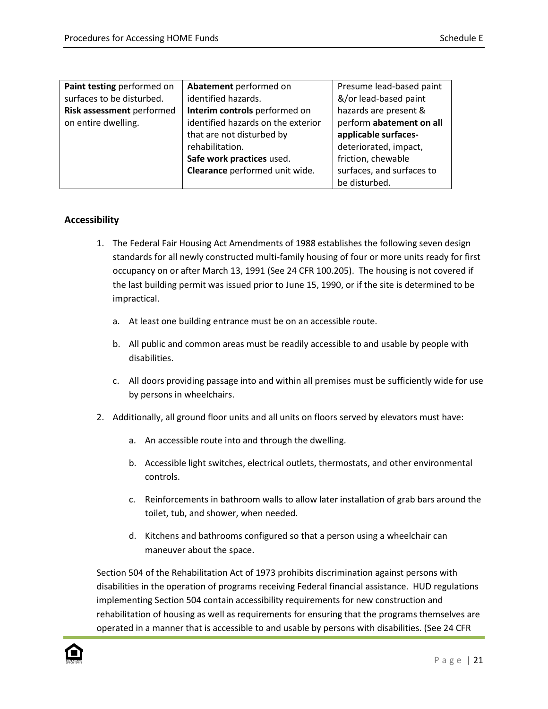| Paint testing performed on | Abatement performed on             | Presume lead-based paint  |
|----------------------------|------------------------------------|---------------------------|
| surfaces to be disturbed.  | identified hazards.                | &/or lead-based paint     |
| Risk assessment performed  | Interim controls performed on      | hazards are present &     |
| on entire dwelling.        | identified hazards on the exterior | perform abatement on all  |
|                            | that are not disturbed by          | applicable surfaces-      |
|                            | rehabilitation.                    | deteriorated, impact,     |
|                            | Safe work practices used.          | friction, chewable        |
|                            | Clearance performed unit wide.     | surfaces, and surfaces to |
|                            |                                    | be disturbed.             |

### **Accessibility**

- 1. The Federal Fair Housing Act Amendments of 1988 establishes the following seven design standards for all newly constructed multi-family housing of four or more units ready for first occupancy on or after March 13, 1991 (See 24 CFR 100.205). The housing is not covered if the last building permit was issued prior to June 15, 1990, or if the site is determined to be impractical.
	- a. At least one building entrance must be on an accessible route.
	- b. All public and common areas must be readily accessible to and usable by people with disabilities.
	- c. All doors providing passage into and within all premises must be sufficiently wide for use by persons in wheelchairs.
- 2. Additionally, all ground floor units and all units on floors served by elevators must have:
	- a. An accessible route into and through the dwelling.
	- b. Accessible light switches, electrical outlets, thermostats, and other environmental controls.
	- c. Reinforcements in bathroom walls to allow later installation of grab bars around the toilet, tub, and shower, when needed.
	- d. Kitchens and bathrooms configured so that a person using a wheelchair can maneuver about the space.

Section 504 of the Rehabilitation Act of 1973 prohibits discrimination against persons with disabilities in the operation of programs receiving Federal financial assistance. HUD regulations implementing Section 504 contain accessibility requirements for new construction and rehabilitation of housing as well as requirements for ensuring that the programs themselves are operated in a manner that is accessible to and usable by persons with disabilities. (See 24 CFR

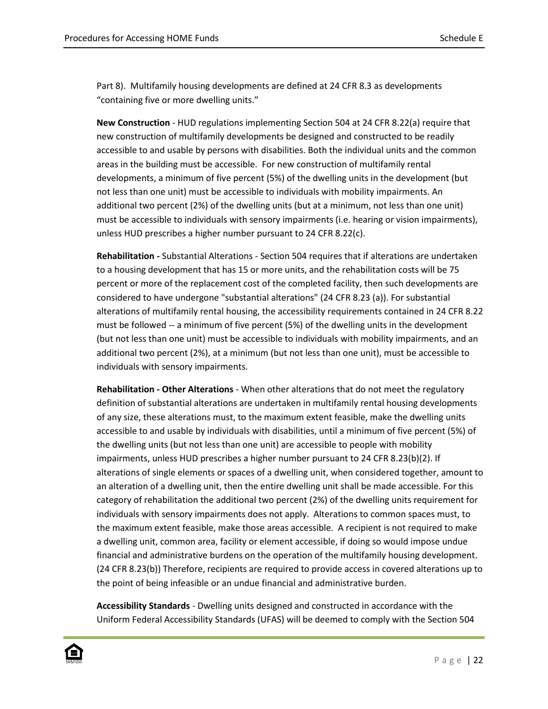Part 8). Multifamily housing developments are defined at 24 CFR 8.3 as developments "containing five or more dwelling units."

**New Construction** - HUD regulations implementing Section 504 at 24 CFR 8.22(a) require that new construction of multifamily developments be designed and constructed to be readily accessible to and usable by persons with disabilities. Both the individual units and the common areas in the building must be accessible. For new construction of multifamily rental developments, a minimum of five percent (5%) of the dwelling units in the development (but not less than one unit) must be accessible to individuals with mobility impairments. An additional two percent (2%) of the dwelling units (but at a minimum, not less than one unit) must be accessible to individuals with sensory impairments (i.e. hearing or vision impairments), unless HUD prescribes a higher number pursuant to 24 CFR 8.22(c).

**Rehabilitation -** Substantial Alterations - Section 504 requires that if alterations are undertaken to a housing development that has 15 or more units, and the rehabilitation costs will be 75 percent or more of the replacement cost of the completed facility, then such developments are considered to have undergone "substantial alterations" (24 CFR 8.23 (a)). For substantial alterations of multifamily rental housing, the accessibility requirements contained in 24 CFR 8.22 must be followed -- a minimum of five percent (5%) of the dwelling units in the development (but not less than one unit) must be accessible to individuals with mobility impairments, and an additional two percent (2%), at a minimum (but not less than one unit), must be accessible to individuals with sensory impairments.

**Rehabilitation - Other Alterations** - When other alterations that do not meet the regulatory definition of substantial alterations are undertaken in multifamily rental housing developments of any size, these alterations must, to the maximum extent feasible, make the dwelling units accessible to and usable by individuals with disabilities, until a minimum of five percent (5%) of the dwelling units (but not less than one unit) are accessible to people with mobility impairments, unless HUD prescribes a higher number pursuant to 24 CFR 8.23(b)(2). If alterations of single elements or spaces of a dwelling unit, when considered together, amount to an alteration of a dwelling unit, then the entire dwelling unit shall be made accessible. For this category of rehabilitation the additional two percent (2%) of the dwelling units requirement for individuals with sensory impairments does not apply. Alterations to common spaces must, to the maximum extent feasible, make those areas accessible. A recipient is not required to make a dwelling unit, common area, facility or element accessible, if doing so would impose undue financial and administrative burdens on the operation of the multifamily housing development. (24 CFR 8.23(b)) Therefore, recipients are required to provide access in covered alterations up to the point of being infeasible or an undue financial and administrative burden.

**Accessibility Standards** - Dwelling units designed and constructed in accordance with the Uniform Federal Accessibility Standards (UFAS) will be deemed to comply with the Section 504